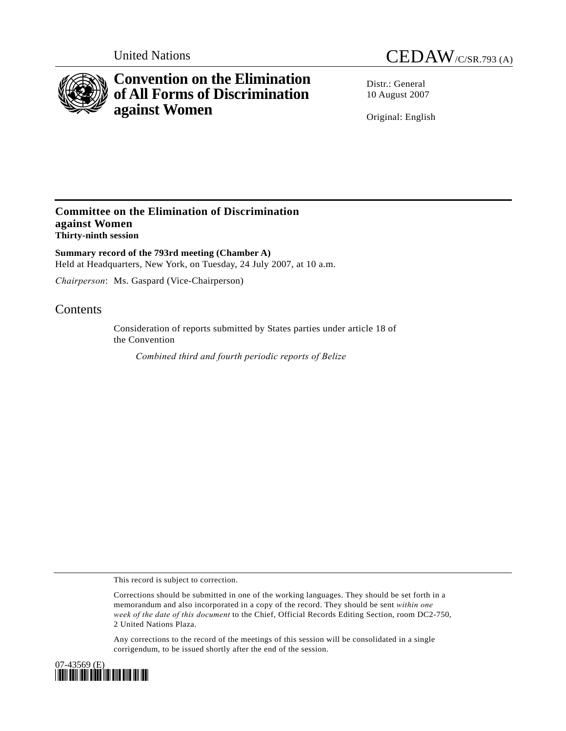

# **Convention on the Elimination of All Forms of Discrimination against Women**

United Nations CEDAW/C/SR.793 (A)

Distr · General 10 August 2007

Original: English

### **Committee on the Elimination of Discrimination against Women Thirty-ninth session**

**Summary record of the 793rd meeting (Chamber A)**  Held at Headquarters, New York, on Tuesday, 24 July 2007, at 10 a.m.

*Chairperson*: Ms. Gaspard (Vice-Chairperson)

## **Contents**

Consideration of reports submitted by States parties under article 18 of the Convention

*Combined third and fourth periodic reports of Belize* 

This record is subject to correction.

Corrections should be submitted in one of the working languages. They should be set forth in a memorandum and also incorporated in a copy of the record. They should be sent *within one week of the date of this document* to the Chief, Official Records Editing Section, room DC2-750, 2 United Nations Plaza.

Any corrections to the record of the meetings of this session will be consolidated in a single corrigendum, to be issued shortly after the end of the session.

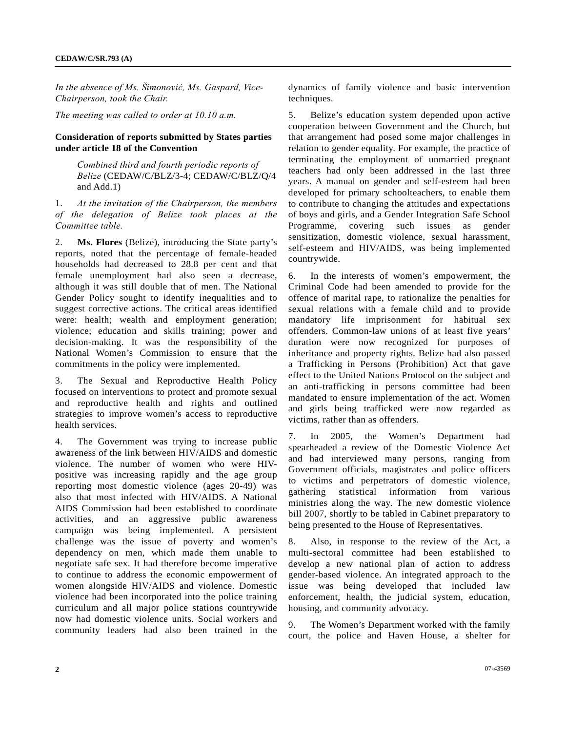*In the absence of Ms. Šimonović, Ms. Gaspard, Vice-Chairperson, took the Chair.* 

*The meeting was called to order at 10.10 a.m.* 

#### **Consideration of reports submitted by States parties under article 18 of the Convention**

 *Combined third and fourth periodic reports of Belize* (CEDAW/C/BLZ/3-4; CEDAW/C/BLZ/Q/4 and Add.1)

1. *At the invitation of the Chairperson, the members of the delegation of Belize took places at the Committee table.*

2. **Ms. Flores** (Belize), introducing the State party's reports, noted that the percentage of female-headed households had decreased to 28.8 per cent and that female unemployment had also seen a decrease, although it was still double that of men. The National Gender Policy sought to identify inequalities and to suggest corrective actions. The critical areas identified were: health; wealth and employment generation; violence; education and skills training; power and decision-making. It was the responsibility of the National Women's Commission to ensure that the commitments in the policy were implemented.

3. The Sexual and Reproductive Health Policy focused on interventions to protect and promote sexual and reproductive health and rights and outlined strategies to improve women's access to reproductive health services.

4. The Government was trying to increase public awareness of the link between HIV/AIDS and domestic violence. The number of women who were HIVpositive was increasing rapidly and the age group reporting most domestic violence (ages 20-49) was also that most infected with HIV/AIDS. A National AIDS Commission had been established to coordinate activities, and an aggressive public awareness campaign was being implemented. A persistent challenge was the issue of poverty and women's dependency on men, which made them unable to negotiate safe sex. It had therefore become imperative to continue to address the economic empowerment of women alongside HIV/AIDS and violence. Domestic violence had been incorporated into the police training curriculum and all major police stations countrywide now had domestic violence units. Social workers and community leaders had also been trained in the

dynamics of family violence and basic intervention techniques.

5. Belize's education system depended upon active cooperation between Government and the Church, but that arrangement had posed some major challenges in relation to gender equality. For example, the practice of terminating the employment of unmarried pregnant teachers had only been addressed in the last three years. A manual on gender and self-esteem had been developed for primary schoolteachers, to enable them to contribute to changing the attitudes and expectations of boys and girls, and a Gender Integration Safe School Programme, covering such issues as gender sensitization, domestic violence, sexual harassment, self-esteem and HIV/AIDS, was being implemented countrywide.

6. In the interests of women's empowerment, the Criminal Code had been amended to provide for the offence of marital rape, to rationalize the penalties for sexual relations with a female child and to provide mandatory life imprisonment for habitual sex offenders. Common-law unions of at least five years' duration were now recognized for purposes of inheritance and property rights. Belize had also passed a Trafficking in Persons (Prohibition) Act that gave effect to the United Nations Protocol on the subject and an anti-trafficking in persons committee had been mandated to ensure implementation of the act. Women and girls being trafficked were now regarded as victims, rather than as offenders.

7. In 2005, the Women's Department had spearheaded a review of the Domestic Violence Act and had interviewed many persons, ranging from Government officials, magistrates and police officers to victims and perpetrators of domestic violence, gathering statistical information from various ministries along the way. The new domestic violence bill 2007, shortly to be tabled in Cabinet preparatory to being presented to the House of Representatives.

8. Also, in response to the review of the Act, a multi-sectoral committee had been established to develop a new national plan of action to address gender-based violence. An integrated approach to the issue was being developed that included law enforcement, health, the judicial system, education, housing, and community advocacy.

9. The Women's Department worked with the family court, the police and Haven House, a shelter for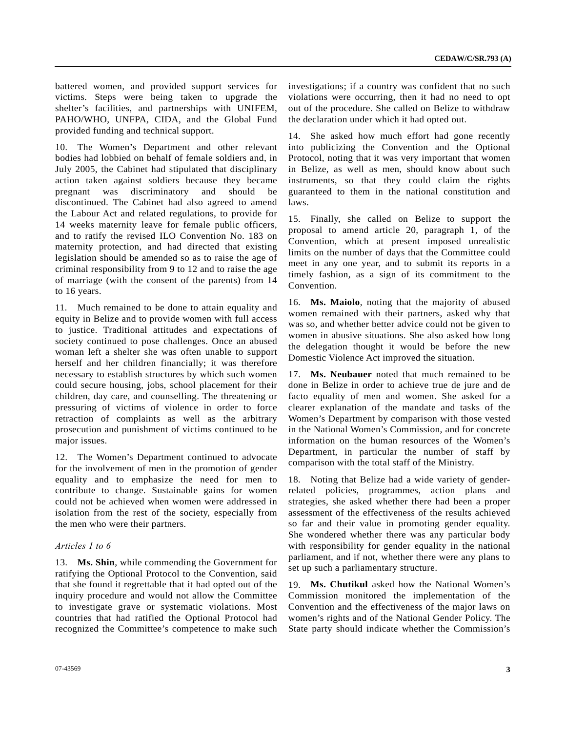battered women, and provided support services for victims. Steps were being taken to upgrade the shelter's facilities, and partnerships with UNIFEM, PAHO/WHO, UNFPA, CIDA, and the Global Fund provided funding and technical support.

10. The Women's Department and other relevant bodies had lobbied on behalf of female soldiers and, in July 2005, the Cabinet had stipulated that disciplinary action taken against soldiers because they became pregnant was discriminatory and should be discontinued. The Cabinet had also agreed to amend the Labour Act and related regulations, to provide for 14 weeks maternity leave for female public officers, and to ratify the revised ILO Convention No. 183 on maternity protection, and had directed that existing legislation should be amended so as to raise the age of criminal responsibility from 9 to 12 and to raise the age of marriage (with the consent of the parents) from 14 to 16 years.

11. Much remained to be done to attain equality and equity in Belize and to provide women with full access to justice. Traditional attitudes and expectations of society continued to pose challenges. Once an abused woman left a shelter she was often unable to support herself and her children financially; it was therefore necessary to establish structures by which such women could secure housing, jobs, school placement for their children, day care, and counselling. The threatening or pressuring of victims of violence in order to force retraction of complaints as well as the arbitrary prosecution and punishment of victims continued to be major issues.

12. The Women's Department continued to advocate for the involvement of men in the promotion of gender equality and to emphasize the need for men to contribute to change. Sustainable gains for women could not be achieved when women were addressed in isolation from the rest of the society, especially from the men who were their partners.

#### *Articles 1 to 6*

13. **Ms. Shin**, while commending the Government for ratifying the Optional Protocol to the Convention, said that she found it regrettable that it had opted out of the inquiry procedure and would not allow the Committee to investigate grave or systematic violations. Most countries that had ratified the Optional Protocol had recognized the Committee's competence to make such

investigations; if a country was confident that no such violations were occurring, then it had no need to opt out of the procedure. She called on Belize to withdraw the declaration under which it had opted out.

14. She asked how much effort had gone recently into publicizing the Convention and the Optional Protocol, noting that it was very important that women in Belize, as well as men, should know about such instruments, so that they could claim the rights guaranteed to them in the national constitution and laws.

15. Finally, she called on Belize to support the proposal to amend article 20, paragraph 1, of the Convention, which at present imposed unrealistic limits on the number of days that the Committee could meet in any one year, and to submit its reports in a timely fashion, as a sign of its commitment to the Convention.

16. **Ms. Maiolo**, noting that the majority of abused women remained with their partners, asked why that was so, and whether better advice could not be given to women in abusive situations. She also asked how long the delegation thought it would be before the new Domestic Violence Act improved the situation.

17. **Ms. Neubauer** noted that much remained to be done in Belize in order to achieve true de jure and de facto equality of men and women. She asked for a clearer explanation of the mandate and tasks of the Women's Department by comparison with those vested in the National Women's Commission, and for concrete information on the human resources of the Women's Department, in particular the number of staff by comparison with the total staff of the Ministry.

18. Noting that Belize had a wide variety of genderrelated policies, programmes, action plans and strategies, she asked whether there had been a proper assessment of the effectiveness of the results achieved so far and their value in promoting gender equality. She wondered whether there was any particular body with responsibility for gender equality in the national parliament, and if not, whether there were any plans to set up such a parliamentary structure.

19. **Ms. Chutikul** asked how the National Women's Commission monitored the implementation of the Convention and the effectiveness of the major laws on women's rights and of the National Gender Policy. The State party should indicate whether the Commission's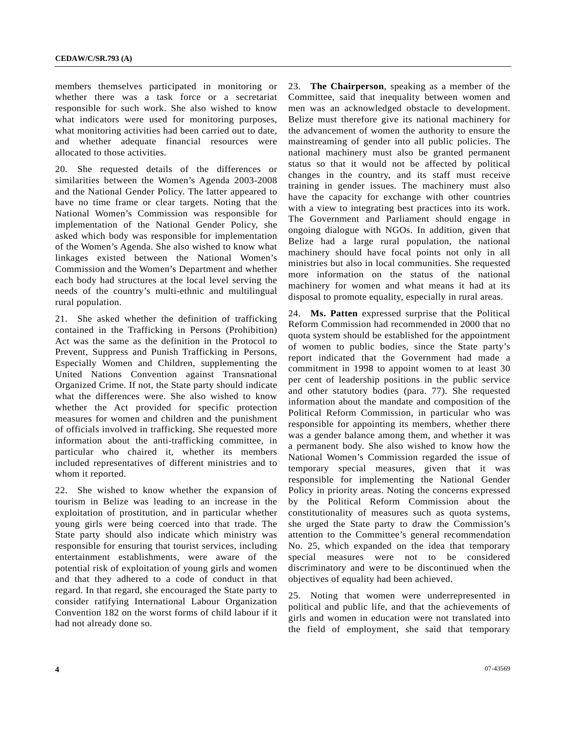members themselves participated in monitoring or whether there was a task force or a secretariat responsible for such work. She also wished to know what indicators were used for monitoring purposes, what monitoring activities had been carried out to date, and whether adequate financial resources were allocated to those activities.

20. She requested details of the differences or similarities between the Women's Agenda 2003-2008 and the National Gender Policy. The latter appeared to have no time frame or clear targets. Noting that the National Women's Commission was responsible for implementation of the National Gender Policy, she asked which body was responsible for implementation of the Women's Agenda. She also wished to know what linkages existed between the National Women's Commission and the Women's Department and whether each body had structures at the local level serving the needs of the country's multi-ethnic and multilingual rural population.

21. She asked whether the definition of trafficking contained in the Trafficking in Persons (Prohibition) Act was the same as the definition in the Protocol to Prevent, Suppress and Punish Trafficking in Persons, Especially Women and Children, supplementing the United Nations Convention against Transnational Organized Crime. If not, the State party should indicate what the differences were. She also wished to know whether the Act provided for specific protection measures for women and children and the punishment of officials involved in trafficking. She requested more information about the anti-trafficking committee, in particular who chaired it, whether its members included representatives of different ministries and to whom it reported.

22. She wished to know whether the expansion of tourism in Belize was leading to an increase in the exploitation of prostitution, and in particular whether young girls were being coerced into that trade. The State party should also indicate which ministry was responsible for ensuring that tourist services, including entertainment establishments, were aware of the potential risk of exploitation of young girls and women and that they adhered to a code of conduct in that regard. In that regard, she encouraged the State party to consider ratifying International Labour Organization Convention 182 on the worst forms of child labour if it had not already done so.

23. **The Chairperson**, speaking as a member of the Committee, said that inequality between women and men was an acknowledged obstacle to development. Belize must therefore give its national machinery for the advancement of women the authority to ensure the mainstreaming of gender into all public policies. The national machinery must also be granted permanent status so that it would not be affected by political changes in the country, and its staff must receive training in gender issues. The machinery must also have the capacity for exchange with other countries with a view to integrating best practices into its work. The Government and Parliament should engage in ongoing dialogue with NGOs. In addition, given that Belize had a large rural population, the national machinery should have focal points not only in all ministries but also in local communities. She requested more information on the status of the national machinery for women and what means it had at its disposal to promote equality, especially in rural areas.

24. **Ms. Patten** expressed surprise that the Political Reform Commission had recommended in 2000 that no quota system should be established for the appointment of women to public bodies, since the State party's report indicated that the Government had made a commitment in 1998 to appoint women to at least 30 per cent of leadership positions in the public service and other statutory bodies (para. 77). She requested information about the mandate and composition of the Political Reform Commission, in particular who was responsible for appointing its members, whether there was a gender balance among them, and whether it was a permanent body. She also wished to know how the National Women's Commission regarded the issue of temporary special measures, given that it was responsible for implementing the National Gender Policy in priority areas. Noting the concerns expressed by the Political Reform Commission about the constitutionality of measures such as quota systems, she urged the State party to draw the Commission's attention to the Committee's general recommendation No. 25, which expanded on the idea that temporary special measures were not to be considered discriminatory and were to be discontinued when the objectives of equality had been achieved.

25. Noting that women were underrepresented in political and public life, and that the achievements of girls and women in education were not translated into the field of employment, she said that temporary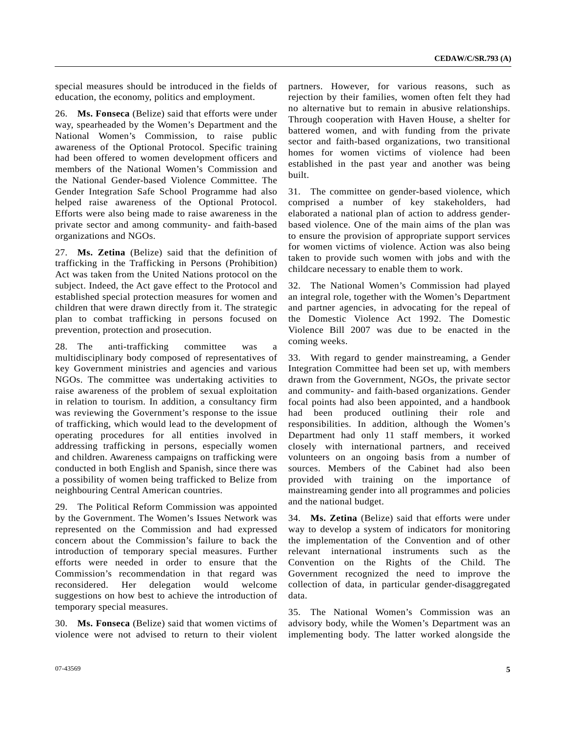special measures should be introduced in the fields of education, the economy, politics and employment.

26. **Ms. Fonseca** (Belize) said that efforts were under way, spearheaded by the Women's Department and the National Women's Commission, to raise public awareness of the Optional Protocol. Specific training had been offered to women development officers and members of the National Women's Commission and the National Gender-based Violence Committee. The Gender Integration Safe School Programme had also helped raise awareness of the Optional Protocol. Efforts were also being made to raise awareness in the private sector and among community- and faith-based organizations and NGOs.

27. **Ms. Zetina** (Belize) said that the definition of trafficking in the Trafficking in Persons (Prohibition) Act was taken from the United Nations protocol on the subject. Indeed, the Act gave effect to the Protocol and established special protection measures for women and children that were drawn directly from it. The strategic plan to combat trafficking in persons focused on prevention, protection and prosecution.

28. The anti-trafficking committee was a multidisciplinary body composed of representatives of key Government ministries and agencies and various NGOs. The committee was undertaking activities to raise awareness of the problem of sexual exploitation in relation to tourism. In addition, a consultancy firm was reviewing the Government's response to the issue of trafficking, which would lead to the development of operating procedures for all entities involved in addressing trafficking in persons, especially women and children. Awareness campaigns on trafficking were conducted in both English and Spanish, since there was a possibility of women being trafficked to Belize from neighbouring Central American countries.

29. The Political Reform Commission was appointed by the Government. The Women's Issues Network was represented on the Commission and had expressed concern about the Commission's failure to back the introduction of temporary special measures. Further efforts were needed in order to ensure that the Commission's recommendation in that regard was reconsidered. Her delegation would welcome suggestions on how best to achieve the introduction of temporary special measures.

30. **Ms. Fonseca** (Belize) said that women victims of violence were not advised to return to their violent

partners. However, for various reasons, such as rejection by their families, women often felt they had no alternative but to remain in abusive relationships. Through cooperation with Haven House, a shelter for battered women, and with funding from the private sector and faith-based organizations, two transitional homes for women victims of violence had been established in the past year and another was being built.

31. The committee on gender-based violence, which comprised a number of key stakeholders, had elaborated a national plan of action to address genderbased violence. One of the main aims of the plan was to ensure the provision of appropriate support services for women victims of violence. Action was also being taken to provide such women with jobs and with the childcare necessary to enable them to work.

32. The National Women's Commission had played an integral role, together with the Women's Department and partner agencies, in advocating for the repeal of the Domestic Violence Act 1992. The Domestic Violence Bill 2007 was due to be enacted in the coming weeks.

33. With regard to gender mainstreaming, a Gender Integration Committee had been set up, with members drawn from the Government, NGOs, the private sector and community- and faith-based organizations. Gender focal points had also been appointed, and a handbook had been produced outlining their role and responsibilities. In addition, although the Women's Department had only 11 staff members, it worked closely with international partners, and received volunteers on an ongoing basis from a number of sources. Members of the Cabinet had also been provided with training on the importance of mainstreaming gender into all programmes and policies and the national budget.

34. **Ms. Zetina** (Belize) said that efforts were under way to develop a system of indicators for monitoring the implementation of the Convention and of other relevant international instruments such as the Convention on the Rights of the Child. The Government recognized the need to improve the collection of data, in particular gender-disaggregated data.

35. The National Women's Commission was an advisory body, while the Women's Department was an implementing body. The latter worked alongside the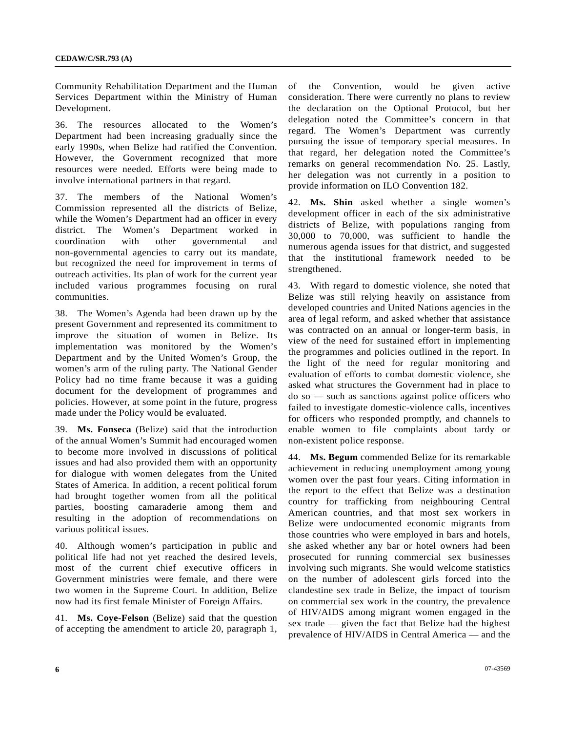Community Rehabilitation Department and the Human Services Department within the Ministry of Human Development.

36. The resources allocated to the Women's Department had been increasing gradually since the early 1990s, when Belize had ratified the Convention. However, the Government recognized that more resources were needed. Efforts were being made to involve international partners in that regard.

37. The members of the National Women's Commission represented all the districts of Belize, while the Women's Department had an officer in every district. The Women's Department worked in coordination with other governmental and non-governmental agencies to carry out its mandate, but recognized the need for improvement in terms of outreach activities. Its plan of work for the current year included various programmes focusing on rural communities.

38. The Women's Agenda had been drawn up by the present Government and represented its commitment to improve the situation of women in Belize. Its implementation was monitored by the Women's Department and by the United Women's Group, the women's arm of the ruling party. The National Gender Policy had no time frame because it was a guiding document for the development of programmes and policies. However, at some point in the future, progress made under the Policy would be evaluated.

39. **Ms. Fonseca** (Belize) said that the introduction of the annual Women's Summit had encouraged women to become more involved in discussions of political issues and had also provided them with an opportunity for dialogue with women delegates from the United States of America. In addition, a recent political forum had brought together women from all the political parties, boosting camaraderie among them and resulting in the adoption of recommendations on various political issues.

40. Although women's participation in public and political life had not yet reached the desired levels, most of the current chief executive officers in Government ministries were female, and there were two women in the Supreme Court. In addition, Belize now had its first female Minister of Foreign Affairs.

41. **Ms. Coye-Felson** (Belize) said that the question of accepting the amendment to article 20, paragraph 1, of the Convention, would be given active consideration. There were currently no plans to review the declaration on the Optional Protocol, but her delegation noted the Committee's concern in that regard. The Women's Department was currently pursuing the issue of temporary special measures. In that regard, her delegation noted the Committee's remarks on general recommendation No. 25. Lastly, her delegation was not currently in a position to provide information on ILO Convention 182.

42. **Ms. Shin** asked whether a single women's development officer in each of the six administrative districts of Belize, with populations ranging from 30,000 to 70,000, was sufficient to handle the numerous agenda issues for that district, and suggested that the institutional framework needed to be strengthened.

43. With regard to domestic violence, she noted that Belize was still relying heavily on assistance from developed countries and United Nations agencies in the area of legal reform, and asked whether that assistance was contracted on an annual or longer-term basis, in view of the need for sustained effort in implementing the programmes and policies outlined in the report. In the light of the need for regular monitoring and evaluation of efforts to combat domestic violence, she asked what structures the Government had in place to do so — such as sanctions against police officers who failed to investigate domestic-violence calls, incentives for officers who responded promptly, and channels to enable women to file complaints about tardy or non-existent police response.

44. **Ms. Begum** commended Belize for its remarkable achievement in reducing unemployment among young women over the past four years. Citing information in the report to the effect that Belize was a destination country for trafficking from neighbouring Central American countries, and that most sex workers in Belize were undocumented economic migrants from those countries who were employed in bars and hotels, she asked whether any bar or hotel owners had been prosecuted for running commercial sex businesses involving such migrants. She would welcome statistics on the number of adolescent girls forced into the clandestine sex trade in Belize, the impact of tourism on commercial sex work in the country, the prevalence of HIV/AIDS among migrant women engaged in the sex trade — given the fact that Belize had the highest prevalence of HIV/AIDS in Central America — and the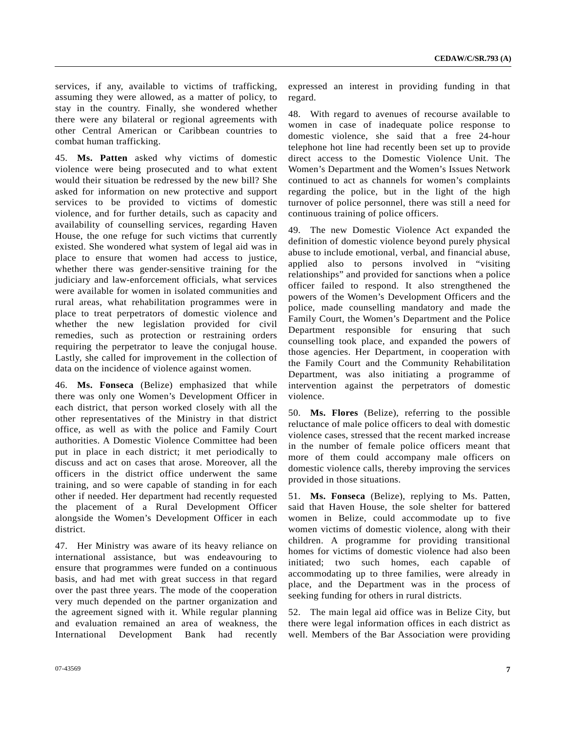services, if any, available to victims of trafficking, assuming they were allowed, as a matter of policy, to stay in the country. Finally, she wondered whether there were any bilateral or regional agreements with other Central American or Caribbean countries to combat human trafficking.

45. **Ms. Patten** asked why victims of domestic violence were being prosecuted and to what extent would their situation be redressed by the new bill? She asked for information on new protective and support services to be provided to victims of domestic violence, and for further details, such as capacity and availability of counselling services, regarding Haven House, the one refuge for such victims that currently existed. She wondered what system of legal aid was in place to ensure that women had access to justice, whether there was gender-sensitive training for the judiciary and law-enforcement officials, what services were available for women in isolated communities and rural areas, what rehabilitation programmes were in place to treat perpetrators of domestic violence and whether the new legislation provided for civil remedies, such as protection or restraining orders requiring the perpetrator to leave the conjugal house. Lastly, she called for improvement in the collection of data on the incidence of violence against women.

46. **Ms. Fonseca** (Belize) emphasized that while there was only one Women's Development Officer in each district, that person worked closely with all the other representatives of the Ministry in that district office, as well as with the police and Family Court authorities. A Domestic Violence Committee had been put in place in each district; it met periodically to discuss and act on cases that arose. Moreover, all the officers in the district office underwent the same training, and so were capable of standing in for each other if needed. Her department had recently requested the placement of a Rural Development Officer alongside the Women's Development Officer in each district.

47. Her Ministry was aware of its heavy reliance on international assistance, but was endeavouring to ensure that programmes were funded on a continuous basis, and had met with great success in that regard over the past three years. The mode of the cooperation very much depended on the partner organization and the agreement signed with it. While regular planning and evaluation remained an area of weakness, the International Development Bank had recently expressed an interest in providing funding in that regard.

48. With regard to avenues of recourse available to women in case of inadequate police response to domestic violence, she said that a free 24-hour telephone hot line had recently been set up to provide direct access to the Domestic Violence Unit. The Women's Department and the Women's Issues Network continued to act as channels for women's complaints regarding the police, but in the light of the high turnover of police personnel, there was still a need for continuous training of police officers.

49. The new Domestic Violence Act expanded the definition of domestic violence beyond purely physical abuse to include emotional, verbal, and financial abuse, applied also to persons involved in "visiting relationships" and provided for sanctions when a police officer failed to respond. It also strengthened the powers of the Women's Development Officers and the police, made counselling mandatory and made the Family Court, the Women's Department and the Police Department responsible for ensuring that such counselling took place, and expanded the powers of those agencies. Her Department, in cooperation with the Family Court and the Community Rehabilitation Department, was also initiating a programme of intervention against the perpetrators of domestic violence.

50. **Ms. Flores** (Belize), referring to the possible reluctance of male police officers to deal with domestic violence cases, stressed that the recent marked increase in the number of female police officers meant that more of them could accompany male officers on domestic violence calls, thereby improving the services provided in those situations.

51. **Ms. Fonseca** (Belize), replying to Ms. Patten, said that Haven House, the sole shelter for battered women in Belize, could accommodate up to five women victims of domestic violence, along with their children. A programme for providing transitional homes for victims of domestic violence had also been initiated; two such homes, each capable of accommodating up to three families, were already in place, and the Department was in the process of seeking funding for others in rural districts.

52. The main legal aid office was in Belize City, but there were legal information offices in each district as well. Members of the Bar Association were providing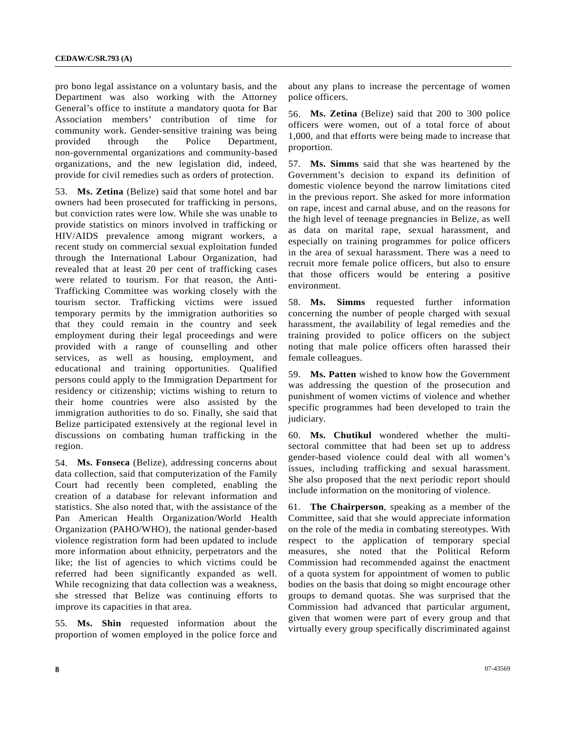pro bono legal assistance on a voluntary basis, and the Department was also working with the Attorney General's office to institute a mandatory quota for Bar Association members' contribution of time for community work. Gender-sensitive training was being provided through the Police Department, non-governmental organizations and community-based organizations, and the new legislation did, indeed, provide for civil remedies such as orders of protection.

53. **Ms. Zetina** (Belize) said that some hotel and bar owners had been prosecuted for trafficking in persons, but conviction rates were low. While she was unable to provide statistics on minors involved in trafficking or HIV/AIDS prevalence among migrant workers, a recent study on commercial sexual exploitation funded through the International Labour Organization, had revealed that at least 20 per cent of trafficking cases were related to tourism. For that reason, the Anti-Trafficking Committee was working closely with the tourism sector. Trafficking victims were issued temporary permits by the immigration authorities so that they could remain in the country and seek employment during their legal proceedings and were provided with a range of counselling and other services, as well as housing, employment, and educational and training opportunities. Qualified persons could apply to the Immigration Department for residency or citizenship; victims wishing to return to their home countries were also assisted by the immigration authorities to do so. Finally, she said that Belize participated extensively at the regional level in discussions on combating human trafficking in the region.

54. **Ms. Fonseca** (Belize), addressing concerns about data collection, said that computerization of the Family Court had recently been completed, enabling the creation of a database for relevant information and statistics. She also noted that, with the assistance of the Pan American Health Organization/World Health Organization (PAHO/WHO), the national gender-based violence registration form had been updated to include more information about ethnicity, perpetrators and the like; the list of agencies to which victims could be referred had been significantly expanded as well. While recognizing that data collection was a weakness, she stressed that Belize was continuing efforts to improve its capacities in that area.

55. **Ms. Shin** requested information about the proportion of women employed in the police force and about any plans to increase the percentage of women police officers.

56. **Ms. Zetina** (Belize) said that 200 to 300 police officers were women, out of a total force of about 1,000, and that efforts were being made to increase that proportion.

57. **Ms. Simms** said that she was heartened by the Government's decision to expand its definition of domestic violence beyond the narrow limitations cited in the previous report. She asked for more information on rape, incest and carnal abuse, and on the reasons for the high level of teenage pregnancies in Belize, as well as data on marital rape, sexual harassment, and especially on training programmes for police officers in the area of sexual harassment. There was a need to recruit more female police officers, but also to ensure that those officers would be entering a positive environment.

58. **Ms. Simms** requested further information concerning the number of people charged with sexual harassment, the availability of legal remedies and the training provided to police officers on the subject noting that male police officers often harassed their female colleagues.

59. **Ms. Patten** wished to know how the Government was addressing the question of the prosecution and punishment of women victims of violence and whether specific programmes had been developed to train the judiciary.

60. **Ms. Chutikul** wondered whether the multisectoral committee that had been set up to address gender-based violence could deal with all women's issues, including trafficking and sexual harassment. She also proposed that the next periodic report should include information on the monitoring of violence.

61. **The Chairperson**, speaking as a member of the Committee, said that she would appreciate information on the role of the media in combating stereotypes. With respect to the application of temporary special measures, she noted that the Political Reform Commission had recommended against the enactment of a quota system for appointment of women to public bodies on the basis that doing so might encourage other groups to demand quotas. She was surprised that the Commission had advanced that particular argument, given that women were part of every group and that virtually every group specifically discriminated against